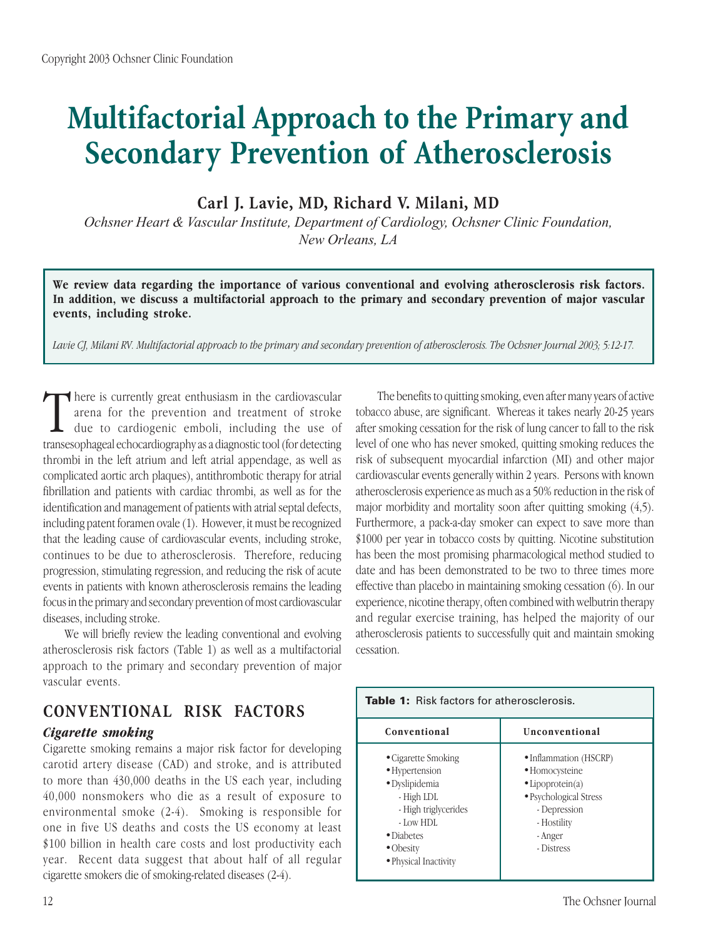# **Multifactorial Approach to the Primary and Secondary Prevention of Atherosclerosis**

**Carl J. Lavie, MD, Richard V. Milani, MD**

*Ochsner Heart & Vascular Institute, Department of Cardiology, Ochsner Clinic Foundation, New Orleans, LA*

**We review data regarding the importance of various conventional and evolving atherosclerosis risk factors. In addition, we discuss a multifactorial approach to the primary and secondary prevention of major vascular events, including stroke.**

*Lavie CJ, Milani RV. Multifactorial approach to the primary and secondary prevention of atherosclerosis. The Ochsner Journal 2003; 5:12-17.*

There is currently great enthusiasm in the cardiovascular arena for the prevention and treatment of stroke due to cardiogenic emboli, including the use of transesophageal echocardiography as a diagnostic tool (for detectin here is currently great enthusiasm in the cardiovascular arena for the prevention and treatment of stroke due to cardiogenic emboli, including the use of thrombi in the left atrium and left atrial appendage, as well as complicated aortic arch plaques), antithrombotic therapy for atrial fibrillation and patients with cardiac thrombi, as well as for the identification and management of patients with atrial septal defects, including patent foramen ovale (1). However, it must be recognized that the leading cause of cardiovascular events, including stroke, continues to be due to atherosclerosis. Therefore, reducing progression, stimulating regression, and reducing the risk of acute events in patients with known atherosclerosis remains the leading focus in the primary and secondary prevention of most cardiovascular diseases, including stroke.

We will briefly review the leading conventional and evolving atherosclerosis risk factors (Table 1) as well as a multifactorial approach to the primary and secondary prevention of major vascular events.

## **CONVENTIONAL RISK FACTORS**

## *Cigarette smoking*

Cigarette smoking remains a major risk factor for developing carotid artery disease (CAD) and stroke, and is attributed to more than 430,000 deaths in the US each year, including 40,000 nonsmokers who die as a result of exposure to environmental smoke (2-4). Smoking is responsible for one in five US deaths and costs the US economy at least \$100 billion in health care costs and lost productivity each year. Recent data suggest that about half of all regular cigarette smokers die of smoking-related diseases (2-4).

The benefits to quitting smoking, even after many years of active tobacco abuse, are significant. Whereas it takes nearly 20-25 years after smoking cessation for the risk of lung cancer to fall to the risk level of one who has never smoked, quitting smoking reduces the risk of subsequent myocardial infarction (MI) and other major cardiovascular events generally within 2 years. Persons with known atherosclerosis experience as much as a 50% reduction in the risk of major morbidity and mortality soon after quitting smoking (4,5). Furthermore, a pack-a-day smoker can expect to save more than \$1000 per year in tobacco costs by quitting. Nicotine substitution has been the most promising pharmacological method studied to date and has been demonstrated to be two to three times more effective than placebo in maintaining smoking cessation (6). In our experience, nicotine therapy, often combined with welbutrin therapy and regular exercise training, has helped the majority of our atherosclerosis patients to successfully quit and maintain smoking cessation.

| <b>Table 1:</b> Risk factors for atherosclerosis.                                                                                                              |                                                                                                                                                        |
|----------------------------------------------------------------------------------------------------------------------------------------------------------------|--------------------------------------------------------------------------------------------------------------------------------------------------------|
| Conventional                                                                                                                                                   | Unconventional                                                                                                                                         |
| • Cigarette Smoking<br>• Hypertension<br>· Dyslipidemia<br>- High LDL<br>- High triglycerides<br>- Low HDL<br>• Diabetes<br>• Obesity<br>· Physical Inactivity | • Inflammation (HSCRP)<br>• Homocysteine<br>$\bullet$ Lipoprotein(a)<br>• Psychological Stress<br>- Depression<br>- Hostility<br>- Anger<br>- Distress |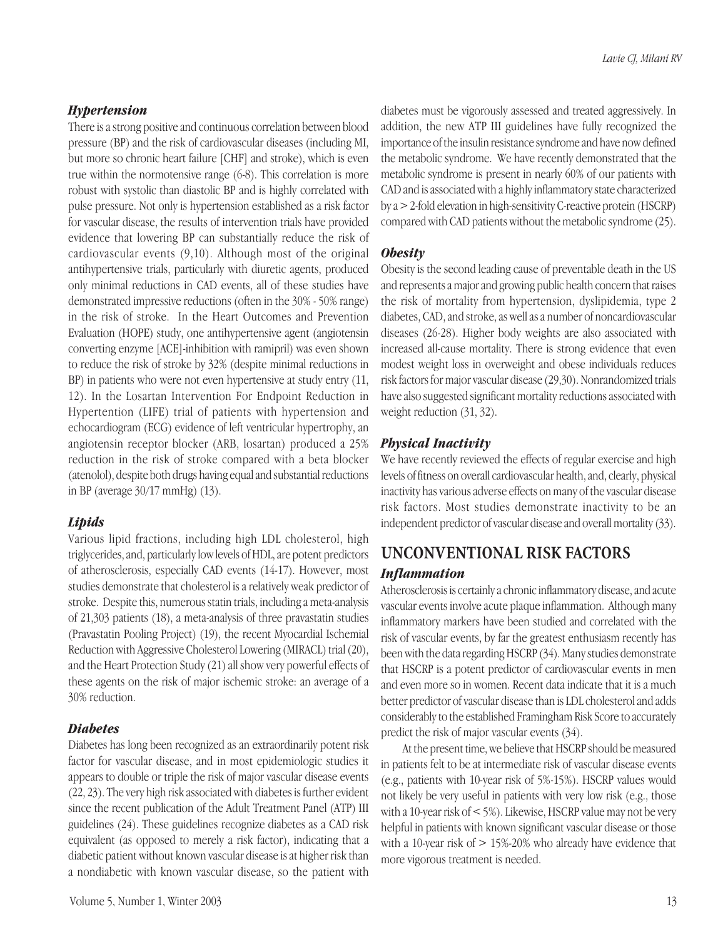#### *Hypertension*

There is a strong positive and continuous correlation between blood pressure (BP) and the risk of cardiovascular diseases (including MI, but more so chronic heart failure [CHF] and stroke), which is even true within the normotensive range (6-8). This correlation is more robust with systolic than diastolic BP and is highly correlated with pulse pressure. Not only is hypertension established as a risk factor for vascular disease, the results of intervention trials have provided evidence that lowering BP can substantially reduce the risk of cardiovascular events (9,10). Although most of the original antihypertensive trials, particularly with diuretic agents, produced only minimal reductions in CAD events, all of these studies have demonstrated impressive reductions (often in the 30% - 50% range) in the risk of stroke. In the Heart Outcomes and Prevention Evaluation (HOPE) study, one antihypertensive agent (angiotensin converting enzyme [ACE]-inhibition with ramipril) was even shown to reduce the risk of stroke by 32% (despite minimal reductions in BP) in patients who were not even hypertensive at study entry (11, 12). In the Losartan Intervention For Endpoint Reduction in Hypertention (LIFE) trial of patients with hypertension and echocardiogram (ECG) evidence of left ventricular hypertrophy, an angiotensin receptor blocker (ARB, losartan) produced a 25% reduction in the risk of stroke compared with a beta blocker (atenolol), despite both drugs having equal and substantial reductions in BP (average 30/17 mmHg) (13).

#### *Lipids*

Various lipid fractions, including high LDL cholesterol, high triglycerides, and, particularly low levels of HDL, are potent predictors of atherosclerosis, especially CAD events (14-17). However, most studies demonstrate that cholesterol is a relatively weak predictor of stroke. Despite this, numerous statin trials, including a meta-analysis of 21,303 patients (18), a meta-analysis of three pravastatin studies (Pravastatin Pooling Project) (19), the recent Myocardial Ischemial Reduction with Aggressive Cholesterol Lowering (MIRACL) trial (20), and the Heart Protection Study (21) all show very powerful effects of these agents on the risk of major ischemic stroke: an average of a 30% reduction.

#### *Diabetes*

Diabetes has long been recognized as an extraordinarily potent risk factor for vascular disease, and in most epidemiologic studies it appears to double or triple the risk of major vascular disease events (22, 23). The very high risk associated with diabetes is further evident since the recent publication of the Adult Treatment Panel (ATP) III guidelines (24). These guidelines recognize diabetes as a CAD risk equivalent (as opposed to merely a risk factor), indicating that a diabetic patient without known vascular disease is at higher risk than a nondiabetic with known vascular disease, so the patient with

diabetes must be vigorously assessed and treated aggressively. In addition, the new ATP III guidelines have fully recognized the importance of the insulin resistance syndrome and have now defined the metabolic syndrome. We have recently demonstrated that the metabolic syndrome is present in nearly 60% of our patients with CAD and is associated with a highly inflammatory state characterized by a > 2-fold elevation in high-sensitivity C-reactive protein (HSCRP) compared with CAD patients without the metabolic syndrome (25).

#### *Obesity*

Obesity is the second leading cause of preventable death in the US and represents a major and growing public health concern that raises the risk of mortality from hypertension, dyslipidemia, type 2 diabetes, CAD, and stroke, as well as a number of noncardiovascular diseases (26-28). Higher body weights are also associated with increased all-cause mortality. There is strong evidence that even modest weight loss in overweight and obese individuals reduces risk factors for major vascular disease (29,30). Nonrandomized trials have also suggested significant mortality reductions associated with weight reduction (31, 32).

#### *Physical Inactivity*

We have recently reviewed the effects of regular exercise and high levels of fitness on overall cardiovascular health, and, clearly, physical inactivity has various adverse effects on many of the vascular disease risk factors. Most studies demonstrate inactivity to be an independent predictor of vascular disease and overall mortality (33).

## **UNCONVENTIONAL RISK FACTORS** *Inflammation*

Atherosclerosis is certainly a chronic inflammatory disease, and acute vascular events involve acute plaque inflammation. Although many inflammatory markers have been studied and correlated with the risk of vascular events, by far the greatest enthusiasm recently has been with the data regarding HSCRP (34). Many studies demonstrate that HSCRP is a potent predictor of cardiovascular events in men and even more so in women. Recent data indicate that it is a much better predictor of vascular disease than is LDL cholesterol and adds considerably to the established Framingham Risk Score to accurately predict the risk of major vascular events (34).

At the present time, we believe that HSCRP should be measured in patients felt to be at intermediate risk of vascular disease events (e.g., patients with 10-year risk of 5%-15%). HSCRP values would not likely be very useful in patients with very low risk (e.g., those with a 10-year risk of < 5%). Likewise, HSCRP value may not be very helpful in patients with known significant vascular disease or those with a 10-year risk of > 15%-20% who already have evidence that more vigorous treatment is needed.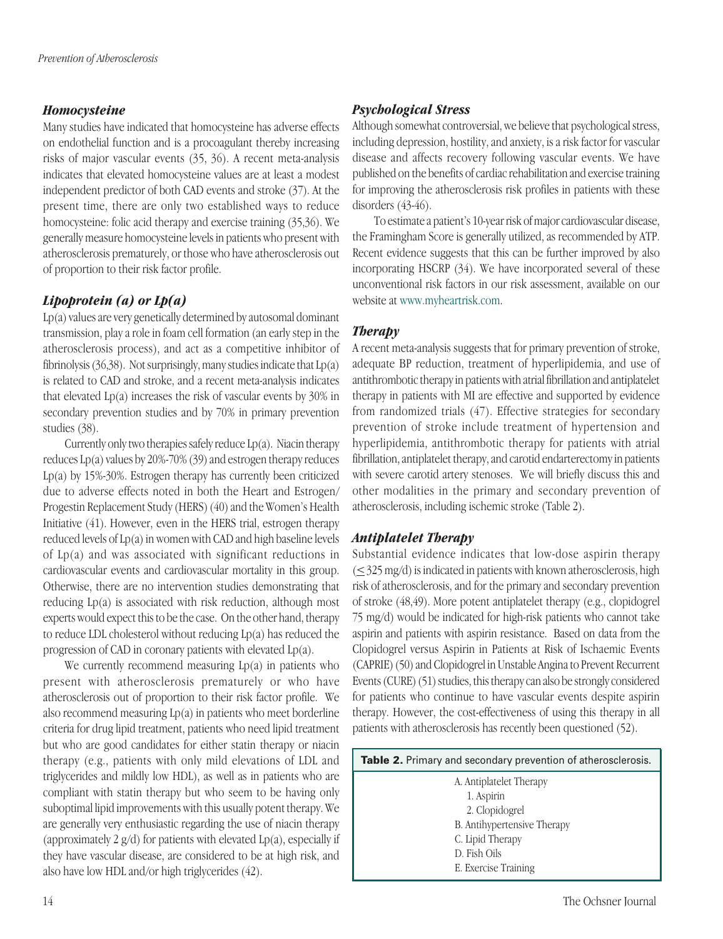## *Homocysteine*

Many studies have indicated that homocysteine has adverse effects on endothelial function and is a procoagulant thereby increasing risks of major vascular events (35, 36). A recent meta-analysis indicates that elevated homocysteine values are at least a modest independent predictor of both CAD events and stroke (37). At the present time, there are only two established ways to reduce homocysteine: folic acid therapy and exercise training (35,36). We generally measure homocysteine levels in patients who present with atherosclerosis prematurely, or those who have atherosclerosis out of proportion to their risk factor profile.

## *Lipoprotein (a) or Lp(a)*

Lp(a) values are very genetically determined by autosomal dominant transmission, play a role in foam cell formation (an early step in the atherosclerosis process), and act as a competitive inhibitor of fibrinolysis  $(36,38)$ . Not surprisingly, many studies indicate that  $Lp(a)$ is related to CAD and stroke, and a recent meta-analysis indicates that elevated Lp(a) increases the risk of vascular events by 30% in secondary prevention studies and by 70% in primary prevention studies (38).

Currently only two therapies safely reduce  $Lp(a)$ . Niacin therapy reduces Lp(a) values by 20%-70% (39) and estrogen therapy reduces Lp(a) by 15%-30%. Estrogen therapy has currently been criticized due to adverse effects noted in both the Heart and Estrogen/ Progestin Replacement Study (HERS) (40) and the Women's Health Initiative (41). However, even in the HERS trial, estrogen therapy reduced levels of Lp(a) in women with CAD and high baseline levels of Lp(a) and was associated with significant reductions in cardiovascular events and cardiovascular mortality in this group. Otherwise, there are no intervention studies demonstrating that reducing Lp(a) is associated with risk reduction, although most experts would expect this to be the case. On the other hand, therapy to reduce LDL cholesterol without reducing Lp(a) has reduced the progression of CAD in coronary patients with elevated Lp(a).

We currently recommend measuring Lp(a) in patients who present with atherosclerosis prematurely or who have atherosclerosis out of proportion to their risk factor profile. We also recommend measuring Lp(a) in patients who meet borderline criteria for drug lipid treatment, patients who need lipid treatment but who are good candidates for either statin therapy or niacin therapy (e.g., patients with only mild elevations of LDL and triglycerides and mildly low HDL), as well as in patients who are compliant with statin therapy but who seem to be having only suboptimal lipid improvements with this usually potent therapy. We are generally very enthusiastic regarding the use of niacin therapy (approximately 2  $g/d$ ) for patients with elevated  $Lp(a)$ , especially if they have vascular disease, are considered to be at high risk, and also have low HDL and/or high triglycerides (42).

## *Psychological Stress*

Although somewhat controversial, we believe that psychological stress, including depression, hostility, and anxiety, is a risk factor for vascular disease and affects recovery following vascular events. We have published on the benefits of cardiac rehabilitation and exercise training for improving the atherosclerosis risk profiles in patients with these disorders (43-46).

To estimate a patient's 10-year risk of major cardiovascular disease, the Framingham Score is generally utilized, as recommended by ATP. Recent evidence suggests that this can be further improved by also incorporating HSCRP (34). We have incorporated several of these unconventional risk factors in our risk assessment, available on our website at www.myheartrisk.com.

## *Therapy*

A recent meta-analysis suggests that for primary prevention of stroke, adequate BP reduction, treatment of hyperlipidemia, and use of antithrombotic therapy in patients with atrial fibrillation and antiplatelet therapy in patients with MI are effective and supported by evidence from randomized trials (47). Effective strategies for secondary prevention of stroke include treatment of hypertension and hyperlipidemia, antithrombotic therapy for patients with atrial fibrillation, antiplatelet therapy, and carotid endarterectomy in patients with severe carotid artery stenoses. We will briefly discuss this and other modalities in the primary and secondary prevention of atherosclerosis, including ischemic stroke (Table 2).

## *Antiplatelet Therapy*

Substantial evidence indicates that low-dose aspirin therapy  $(\leq$  325 mg/d) is indicated in patients with known atherosclerosis, high risk of atherosclerosis, and for the primary and secondary prevention of stroke (48,49). More potent antiplatelet therapy (e.g., clopidogrel 75 mg/d) would be indicated for high-risk patients who cannot take aspirin and patients with aspirin resistance. Based on data from the Clopidogrel versus Aspirin in Patients at Risk of Ischaemic Events (CAPRIE) (50) and Clopidogrel in Unstable Angina to Prevent Recurrent Events (CURE) (51) studies, this therapy can also be strongly considered for patients who continue to have vascular events despite aspirin therapy. However, the cost-effectiveness of using this therapy in all patients with atherosclerosis has recently been questioned (52).

| <b>Table 2.</b> Primary and secondary prevention of atherosclerosis. |  |
|----------------------------------------------------------------------|--|
| A. Antiplatelet Therapy                                              |  |
| 1. Aspirin                                                           |  |
| 2. Clopidogrel                                                       |  |
| B. Antihypertensive Therapy                                          |  |
| C. Lipid Therapy                                                     |  |
| D. Fish Oils                                                         |  |
| E. Exercise Training                                                 |  |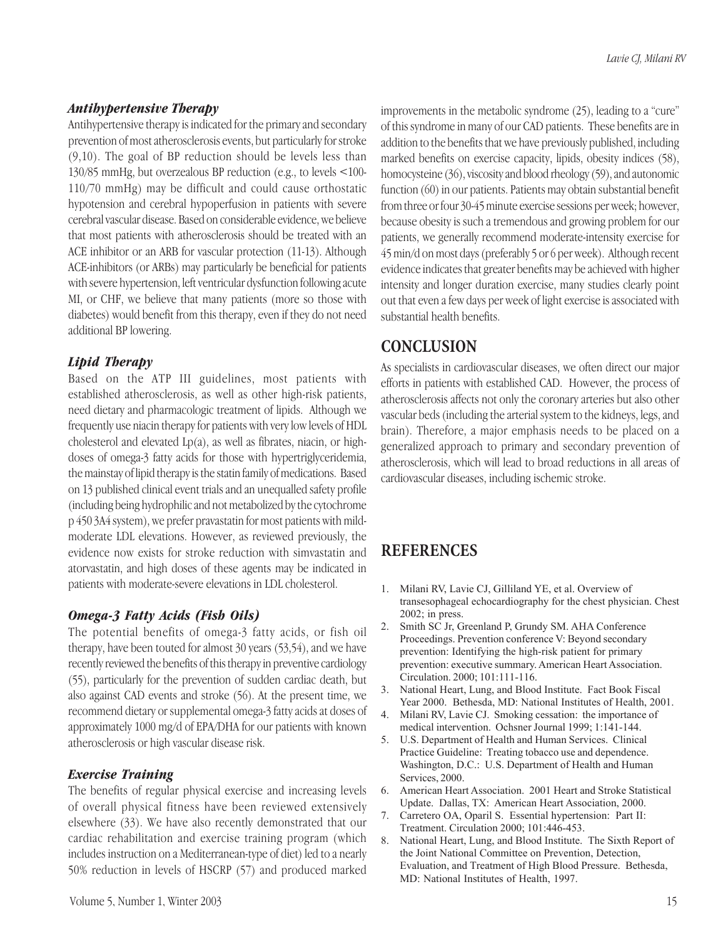## *Antihypertensive Therapy*

Antihypertensive therapy is indicated for the primary and secondary prevention of most atherosclerosis events, but particularly for stroke (9,10). The goal of BP reduction should be levels less than 130/85 mmHg, but overzealous BP reduction (e.g., to levels <100- 110/70 mmHg) may be difficult and could cause orthostatic hypotension and cerebral hypoperfusion in patients with severe cerebral vascular disease. Based on considerable evidence, we believe that most patients with atherosclerosis should be treated with an ACE inhibitor or an ARB for vascular protection (11-13). Although ACE-inhibitors (or ARBs) may particularly be beneficial for patients with severe hypertension, left ventricular dysfunction following acute MI, or CHF, we believe that many patients (more so those with diabetes) would benefit from this therapy, even if they do not need additional BP lowering.

## *Lipid Therapy*

Based on the ATP III guidelines, most patients with established atherosclerosis, as well as other high-risk patients, need dietary and pharmacologic treatment of lipids. Although we frequently use niacin therapy for patients with very low levels of HDL cholesterol and elevated Lp(a), as well as fibrates, niacin, or highdoses of omega-3 fatty acids for those with hypertriglyceridemia, the mainstay of lipid therapy is the statin family of medications. Based on 13 published clinical event trials and an unequalled safety profile (including being hydrophilic and not metabolized by the cytochrome p 450 3A4 system), we prefer pravastatin for most patients with mildmoderate LDL elevations. However, as reviewed previously, the evidence now exists for stroke reduction with simvastatin and atorvastatin, and high doses of these agents may be indicated in patients with moderate-severe elevations in LDL cholesterol.

## *Omega-3 Fatty Acids (Fish Oils)*

The potential benefits of omega-3 fatty acids, or fish oil therapy, have been touted for almost 30 years (53,54), and we have recently reviewed the benefits of this therapy in preventive cardiology (55), particularly for the prevention of sudden cardiac death, but also against CAD events and stroke (56). At the present time, we recommend dietary or supplemental omega-3 fatty acids at doses of approximately 1000 mg/d of EPA/DHA for our patients with known atherosclerosis or high vascular disease risk.

#### *Exercise Training*

The benefits of regular physical exercise and increasing levels of overall physical fitness have been reviewed extensively elsewhere (33). We have also recently demonstrated that our cardiac rehabilitation and exercise training program (which includes instruction on a Mediterranean-type of diet) led to a nearly 50% reduction in levels of HSCRP (57) and produced marked improvements in the metabolic syndrome (25), leading to a "cure" of this syndrome in many of our CAD patients. These benefits are in addition to the benefits that we have previously published, including marked benefits on exercise capacity, lipids, obesity indices (58), homocysteine (36), viscosity and blood rheology (59), and autonomic function (60) in our patients. Patients may obtain substantial benefit from three or four 30-45 minute exercise sessions per week; however, because obesity is such a tremendous and growing problem for our patients, we generally recommend moderate-intensity exercise for 45 min/d on most days (preferably 5 or 6 per week). Although recent evidence indicates that greater benefits may be achieved with higher intensity and longer duration exercise, many studies clearly point out that even a few days per week of light exercise is associated with substantial health benefits.

## **CONCLUSION**

As specialists in cardiovascular diseases, we often direct our major efforts in patients with established CAD. However, the process of atherosclerosis affects not only the coronary arteries but also other vascular beds (including the arterial system to the kidneys, legs, and brain). Therefore, a major emphasis needs to be placed on a generalized approach to primary and secondary prevention of atherosclerosis, which will lead to broad reductions in all areas of cardiovascular diseases, including ischemic stroke.

## **REFERENCES**

- 1. Milani RV, Lavie CJ, Gilliland YE, et al. Overview of transesophageal echocardiography for the chest physician. Chest 2002; in press.
- 2. Smith SC Jr, Greenland P, Grundy SM. AHA Conference Proceedings. Prevention conference V: Beyond secondary prevention: Identifying the high-risk patient for primary prevention: executive summary. American Heart Association. Circulation. 2000; 101:111-116.
- 3. National Heart, Lung, and Blood Institute. Fact Book Fiscal Year 2000. Bethesda, MD: National Institutes of Health, 2001.
- 4. Milani RV, Lavie CJ. Smoking cessation: the importance of medical intervention. Ochsner Journal 1999; 1:141-144.
- 5. U.S. Department of Health and Human Services. Clinical Practice Guideline: Treating tobacco use and dependence. Washington, D.C.: U.S. Department of Health and Human Services, 2000.
- 6. American Heart Association. 2001 Heart and Stroke Statistical Update. Dallas, TX: American Heart Association, 2000.
- 7. Carretero OA, Oparil S. Essential hypertension: Part II: Treatment. Circulation 2000; 101:446-453.
- 8. National Heart, Lung, and Blood Institute. The Sixth Report of the Joint National Committee on Prevention, Detection, Evaluation, and Treatment of High Blood Pressure. Bethesda, MD: National Institutes of Health, 1997.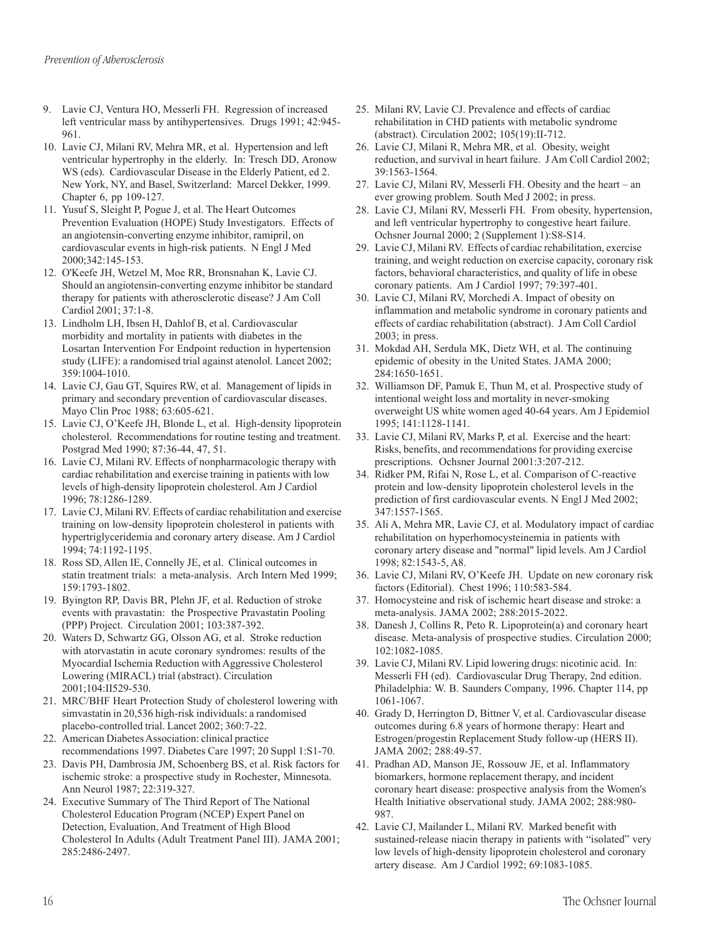- 9. Lavie CJ, Ventura HO, Messerli FH. Regression of increased left ventricular mass by antihypertensives. Drugs 1991; 42:945- 961.
- 10. Lavie CJ, Milani RV, Mehra MR, et al. Hypertension and left ventricular hypertrophy in the elderly. In: Tresch DD, Aronow WS (eds). Cardiovascular Disease in the Elderly Patient, ed 2. New York, NY, and Basel, Switzerland: Marcel Dekker, 1999. Chapter 6, pp 109-127.
- 11. Yusuf S, Sleight P, Pogue J, et al. The Heart Outcomes Prevention Evaluation (HOPE) Study Investigators. Effects of an angiotensin-converting enzyme inhibitor, ramipril, on cardiovascular events in high-risk patients. N Engl J Med 2000;342:145-153.
- 12. O'Keefe JH, Wetzel M, Moe RR, Bronsnahan K, Lavie CJ. Should an angiotensin-converting enzyme inhibitor be standard therapy for patients with atherosclerotic disease? J Am Coll Cardiol 2001; 37:1-8.
- 13. Lindholm LH, Ibsen H, Dahlof B, et al. Cardiovascular morbidity and mortality in patients with diabetes in the Losartan Intervention For Endpoint reduction in hypertension study (LIFE): a randomised trial against atenolol. Lancet 2002; 359:1004-1010.
- 14. Lavie CJ, Gau GT, Squires RW, et al. Management of lipids in primary and secondary prevention of cardiovascular diseases. Mayo Clin Proc 1988; 63:605-621.
- 15. Lavie CJ, O'Keefe JH, Blonde L, et al. High-density lipoprotein cholesterol. Recommendations for routine testing and treatment. Postgrad Med 1990; 87:36-44, 47, 51.
- 16. Lavie CJ, Milani RV. Effects of nonpharmacologic therapy with cardiac rehabilitation and exercise training in patients with low levels of high-density lipoprotein cholesterol. Am J Cardiol 1996; 78:1286-1289.
- 17. Lavie CJ, Milani RV. Effects of cardiac rehabilitation and exercise training on low-density lipoprotein cholesterol in patients with hypertriglyceridemia and coronary artery disease. Am J Cardiol 1994; 74:1192-1195.
- 18. Ross SD, Allen IE, Connelly JE, et al. Clinical outcomes in statin treatment trials: a meta-analysis. Arch Intern Med 1999; 159:1793-1802.
- 19. Byington RP, Davis BR, Plehn JF, et al. Reduction of stroke events with pravastatin: the Prospective Pravastatin Pooling (PPP) Project. Circulation 2001; 103:387-392.
- 20. Waters D, Schwartz GG, Olsson AG, et al. Stroke reduction with atorvastatin in acute coronary syndromes: results of the Myocardial Ischemia Reduction with Aggressive Cholesterol Lowering (MIRACL) trial (abstract). Circulation 2001;104:II529-530.
- 21. MRC/BHF Heart Protection Study of cholesterol lowering with simvastatin in 20,536 high-risk individuals: a randomised placebo-controlled trial. Lancet 2002; 360:7-22.
- 22. American Diabetes Association: clinical practice recommendations 1997. Diabetes Care 1997; 20 Suppl 1:S1-70.
- 23. Davis PH, Dambrosia JM, Schoenberg BS, et al. Risk factors for ischemic stroke: a prospective study in Rochester, Minnesota. Ann Neurol 1987; 22:319-327.
- 24. Executive Summary of The Third Report of The National Cholesterol Education Program (NCEP) Expert Panel on Detection, Evaluation, And Treatment of High Blood Cholesterol In Adults (Adult Treatment Panel III). JAMA 2001; 285:2486-2497.
- 25. Milani RV, Lavie CJ. Prevalence and effects of cardiac rehabilitation in CHD patients with metabolic syndrome (abstract). Circulation 2002; 105(19):II-712.
- 26. Lavie CJ, Milani R, Mehra MR, et al. Obesity, weight reduction, and survival in heart failure. J Am Coll Cardiol 2002; 39:1563-1564.
- 27. Lavie CJ, Milani RV, Messerli FH. Obesity and the heart an ever growing problem. South Med J 2002; in press.
- 28. Lavie CJ, Milani RV, Messerli FH. From obesity, hypertension, and left ventricular hypertrophy to congestive heart failure. Ochsner Journal 2000; 2 (Supplement 1):S8-S14.
- 29. Lavie CJ, Milani RV. Effects of cardiac rehabilitation, exercise training, and weight reduction on exercise capacity, coronary risk factors, behavioral characteristics, and quality of life in obese coronary patients. Am J Cardiol 1997; 79:397-401.
- 30. Lavie CJ, Milani RV, Morchedi A. Impact of obesity on inflammation and metabolic syndrome in coronary patients and effects of cardiac rehabilitation (abstract). J Am Coll Cardiol 2003; in press.
- 31. Mokdad AH, Serdula MK, Dietz WH, et al. The continuing epidemic of obesity in the United States. JAMA 2000; 284:1650-1651.
- 32. Williamson DF, Pamuk E, Thun M, et al. Prospective study of intentional weight loss and mortality in never-smoking overweight US white women aged 40-64 years. Am J Epidemiol 1995; 141:1128-1141.
- 33. Lavie CJ, Milani RV, Marks P, et al. Exercise and the heart: Risks, benefits, and recommendations for providing exercise prescriptions. Ochsner Journal 2001:3:207-212.
- 34. Ridker PM, Rifai N, Rose L, et al. Comparison of C-reactive protein and low-density lipoprotein cholesterol levels in the prediction of first cardiovascular events. N Engl J Med 2002; 347:1557-1565.
- 35. Ali A, Mehra MR, Lavie CJ, et al. Modulatory impact of cardiac rehabilitation on hyperhomocysteinemia in patients with coronary artery disease and "normal" lipid levels. Am J Cardiol 1998; 82:1543-5, A8.
- 36. Lavie CJ, Milani RV, O'Keefe JH. Update on new coronary risk factors (Editorial). Chest 1996; 110:583-584.
- 37. Homocysteine and risk of ischemic heart disease and stroke: a meta-analysis. JAMA 2002; 288:2015-2022.
- 38. Danesh J, Collins R, Peto R. Lipoprotein(a) and coronary heart disease. Meta-analysis of prospective studies. Circulation 2000; 102:1082-1085.
- 39. Lavie CJ, Milani RV. Lipid lowering drugs: nicotinic acid. In: Messerli FH (ed). Cardiovascular Drug Therapy, 2nd edition. Philadelphia: W. B. Saunders Company, 1996. Chapter 114, pp 1061-1067.
- 40. Grady D, Herrington D, Bittner V, et al. Cardiovascular disease outcomes during 6.8 years of hormone therapy: Heart and Estrogen/progestin Replacement Study follow-up (HERS II). JAMA 2002; 288:49-57.
- 41. Pradhan AD, Manson JE, Rossouw JE, et al. Inflammatory biomarkers, hormone replacement therapy, and incident coronary heart disease: prospective analysis from the Women's Health Initiative observational study. JAMA 2002; 288:980- 987.
- 42. Lavie CJ, Mailander L, Milani RV. Marked benefit with sustained-release niacin therapy in patients with "isolated" very low levels of high-density lipoprotein cholesterol and coronary artery disease. Am J Cardiol 1992; 69:1083-1085.